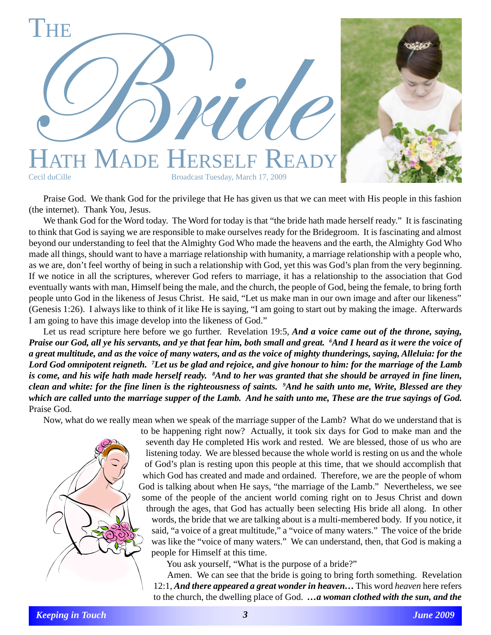

Praise God. We thank God for the privilege that He has given us that we can meet with His people in this fashion (the internet). Thank You, Jesus.

We thank God for the Word today. The Word for today is that "the bride hath made herself ready." It is fascinating to think that God is saying we are responsible to make ourselves ready for the Bridegroom. It is fascinating and almost beyond our understanding to feel that the Almighty God Who made the heavens and the earth, the Almighty God Who made all things, should want to have a marriage relationship with humanity, a marriage relationship with a people who, as we are, don't feel worthy of being in such a relationship with God, yet this was God's plan from the very beginning. If we notice in all the scriptures, wherever God refers to marriage, it has a relationship to the association that God eventually wants with man, Himself being the male, and the church, the people of God, being the female, to bring forth people unto God in the likeness of Jesus Christ. He said, "Let us make man in our own image and after our likeness" (Genesis 1:26). I always like to think of it like He is saying, "I am going to start out by making the image. Afterwards I am going to have this image develop into the likeness of God."

Let us read scripture here before we go further. Revelation 19:5, *And a voice came out of the throne, saying, Praise our God, all ye his servants, and ye that fear him, both small and great. 6 And I heard as it were the voice of a great multitude, and as the voice of many waters, and as the voice of mighty thunderings, saying, Alleluia: for the Lord God omnipotent reigneth. 7 Let us be glad and rejoice, and give honour to him: for the marriage of the Lamb is come, and his wife hath made herself ready. 8 And to her was granted that she should be arrayed in fine linen, clean and white: for the fine linen is the righteousness of saints. 9 And he saith unto me, Write, Blessed are they which are called unto the marriage supper of the Lamb. And he saith unto me, These are the true sayings of God.* Praise God.

Now, what do we really mean when we speak of the marriage supper of the Lamb? What do we understand that is



to be happening right now? Actually, it took six days for God to make man and the seventh day He completed His work and rested. We are blessed, those of us who are listening today. We are blessed because the whole world is resting on us and the whole of God's plan is resting upon this people at this time, that we should accomplish that which God has created and made and ordained. Therefore, we are the people of whom God is talking about when He says, "the marriage of the Lamb." Nevertheless, we see some of the people of the ancient world coming right on to Jesus Christ and down through the ages, that God has actually been selecting His bride all along. In other words, the bride that we are talking about is a multi-membered body. If you notice, it said, "a voice of a great multitude," a "voice of many waters." The voice of the bride was like the "voice of many waters." We can understand, then, that God is making a people for Himself at this time.

You ask yourself, "What is the purpose of a bride?"

Amen. We can see that the bride is going to bring forth something. Revelation 12:1, *And there appeared a great wonder in heaven…* This word *heaven* here refers to the church, the dwelling place of God. *…a woman clothed with the sun, and the*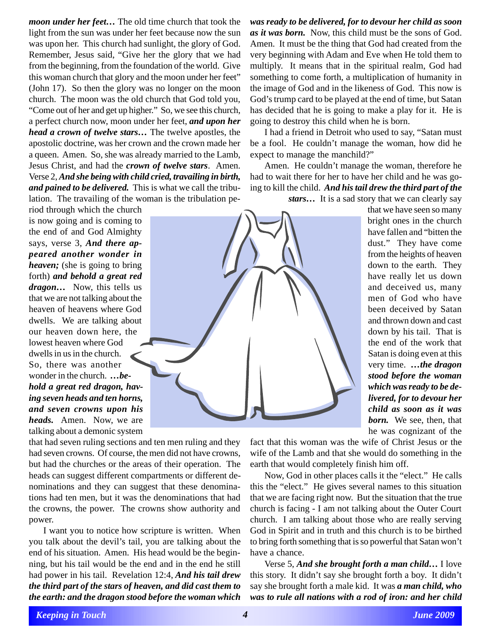*moon under her feet…* The old time church that took the light from the sun was under her feet because now the sun was upon her. This church had sunlight, the glory of God. Remember, Jesus said, "Give her the glory that we had from the beginning, from the foundation of the world. Give this woman church that glory and the moon under her feet" (John 17). So then the glory was no longer on the moon church. The moon was the old church that God told you, "Come out of her and get up higher." So, we see this church, a perfect church now, moon under her feet, *and upon her head a crown of twelve stars…* The twelve apostles, the apostolic doctrine, was her crown and the crown made her a queen. Amen. So, she was already married to the Lamb, Jesus Christ, and had the *crown of twelve stars*. Amen. Verse 2, *And she being with child cried, travailing in birth, and pained to be delivered.* This is what we call the tribulation. The travailing of the woman is the tribulation pe-

riod through which the church is now going and is coming to the end of and God Almighty says, verse 3, *And there appeared another wonder in heaven;* (she is going to bring forth) *and behold a great red dragon…* Now, this tells us that we are not talking about the heaven of heavens where God dwells. We are talking about our heaven down here, the lowest heaven where God dwells in us in the church. So, there was another wonder in the church. *…behold a great red dragon, having seven heads and ten horns, and seven crowns upon his heads.* Amen. Now, we are talking about a demonic system



that had seven ruling sections and ten men ruling and they had seven crowns. Of course, the men did not have crowns, but had the churches or the areas of their operation. The heads can suggest different compartments or different denominations and they can suggest that these denominations had ten men, but it was the denominations that had the crowns, the power. The crowns show authority and power.

I want you to notice how scripture is written. When you talk about the devil's tail, you are talking about the end of his situation. Amen. His head would be the beginning, but his tail would be the end and in the end he still had power in his tail. Revelation 12:4, *And his tail drew the third part of the stars of heaven, and did cast them to the earth: and the dragon stood before the woman which*

*was ready to be delivered, for to devour her child as soon as it was born.* Now, this child must be the sons of God. Amen. It must be the thing that God had created from the very beginning with Adam and Eve when He told them to multiply. It means that in the spiritual realm, God had something to come forth, a multiplication of humanity in the image of God and in the likeness of God. This now is God's trump card to be played at the end of time, but Satan has decided that he is going to make a play for it. He is going to destroy this child when he is born.

I had a friend in Detroit who used to say, "Satan must be a fool. He couldn't manage the woman, how did he expect to manage the manchild?"

Amen. He couldn't manage the woman, therefore he had to wait there for her to have her child and he was going to kill the child. *And his tail drew the third part of the*

*stars…* It is a sad story that we can clearly say

that we have seen so many bright ones in the church have fallen and "bitten the dust." They have come from the heights of heaven down to the earth. They have really let us down and deceived us, many men of God who have been deceived by Satan and thrown down and cast down by his tail. That is the end of the work that Satan is doing even at this very time. *…the dragon stood before the woman which was ready to be delivered, for to devour her child as soon as it was born.* We see, then, that he was cognizant of the

fact that this woman was the wife of Christ Jesus or the wife of the Lamb and that she would do something in the earth that would completely finish him off.

Now, God in other places calls it the "elect." He calls this the "elect." He gives several names to this situation that we are facing right now. But the situation that the true church is facing - I am not talking about the Outer Court church. I am talking about those who are really serving God in Spirit and in truth and this church is to be birthed to bring forth something that is so powerful that Satan won't have a chance.

Verse 5, *And she brought forth a man child…* I love this story. It didn't say she brought forth a boy. It didn't say she brought forth a male kid. It was *a man child, who was to rule all nations with a rod of iron: and her child*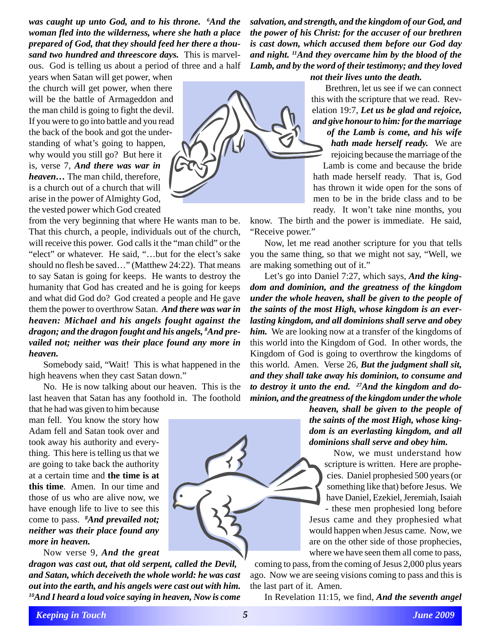*was caught up unto God, and to his throne. 6 And the woman fled into the wilderness, where she hath a place prepared of God, that they should feed her there a thousand two hundred and threescore days.* This is marvelous. God is telling us about a period of three and a half

years when Satan will get power, when the church will get power, when there will be the battle of Armageddon and the man child is going to fight the devil. If you were to go into battle and you read the back of the book and got the understanding of what's going to happen, why would you still go? But here it is, verse 7, *And there was war in heaven…* The man child, therefore, is a church out of a church that will arise in the power of Almighty God, the vested power which God created

from the very beginning that where He wants man to be. That this church, a people, individuals out of the church, will receive this power. God calls it the "man child" or the "elect" or whatever. He said, "…but for the elect's sake should no flesh be saved…" (Matthew 24:22). That means to say Satan is going for keeps. He wants to destroy the humanity that God has created and he is going for keeps and what did God do? God created a people and He gave them the power to overthrow Satan. *And there was war in heaven: Michael and his angels fought against the dragon; and the dragon fought and his angels, 8 And prevailed not; neither was their place found any more in heaven.*

Somebody said, "Wait! This is what happened in the high heavens when they cast Satan down."

No. He is now talking about our heaven. This is the last heaven that Satan has any foothold in. The foothold

that he had was given to him because man fell. You know the story how Adam fell and Satan took over and took away his authority and everything. This here is telling us that we are going to take back the authority at a certain time and **the time is at this time**. Amen. In our time and those of us who are alive now, we have enough life to live to see this come to pass. *<sup>8</sup> And prevailed not; neither was their place found any more in heaven.*

Now verse 9, *And the great*

*dragon was cast out, that old serpent, called the Devil, and Satan, which deceiveth the whole world: he was cast out into the earth, and his angels were cast out with him. 10And I heard a loud voice saying in heaven, Now is come*

*salvation, and strength, and the kingdom of our God, and the power of his Christ: for the accuser of our brethren is cast down, which accused them before our God day and night. 11And they overcame him by the blood of the Lamb, and by the word of their testimony; and they loved not their lives unto the death.*



Brethren, let us see if we can connect this with the scripture that we read. Revelation 19:7, *Let us be glad and rejoice, and give honour to him: for the marriage of the Lamb is come, and his wife hath made herself ready.* We are

rejoicing because the marriage of the

Lamb is come and because the bride hath made herself ready. That is, God has thrown it wide open for the sons of men to be in the bride class and to be ready. It won't take nine months, you

know. The birth and the power is immediate. He said, "Receive power."

Now, let me read another scripture for you that tells you the same thing, so that we might not say, "Well, we are making something out of it."

Let's go into Daniel 7:27, which says, *And the kingdom and dominion, and the greatness of the kingdom under the whole heaven, shall be given to the people of the saints of the most High, whose kingdom is an everlasting kingdom, and all dominions shall serve and obey him.* We are looking now at a transfer of the kingdoms of this world into the Kingdom of God. In other words, the Kingdom of God is going to overthrow the kingdoms of this world. Amen. Verse 26, *But the judgment shall sit, and they shall take away his dominion, to consume and to destroy it unto the end. 27And the kingdom and dominion, and the greatness of the kingdom under the whole*

> *heaven, shall be given to the people of the saints of the most High, whose kingdom is an everlasting kingdom, and all dominions shall serve and obey him.*

Now, we must understand how scripture is written. Here are prophecies. Daniel prophesied 500 years (or something like that) before Jesus. We have Daniel, Ezekiel, Jeremiah, Isaiah - these men prophesied long before

Jesus came and they prophesied what would happen when Jesus came. Now, we are on the other side of those prophecies, where we have seen them all come to pass,

coming to pass, from the coming of Jesus 2,000 plus years ago. Now we are seeing visions coming to pass and this is the last part of it. Amen.

In Revelation 11:15, we find, *And the seventh angel*

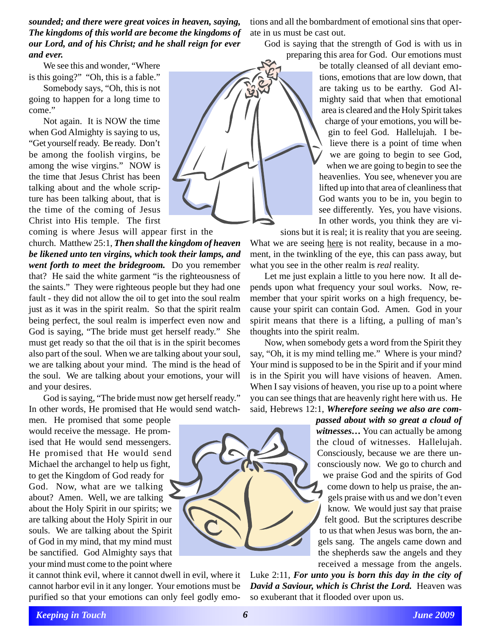*sounded; and there were great voices in heaven, saying, The kingdoms of this world are become the kingdoms of our Lord, and of his Christ; and he shall reign for ever and ever.*

We see this and wonder, "Where is this going?" "Oh, this is a fable."

Somebody says, "Oh, this is not going to happen for a long time to come."

Not again. It is NOW the time when God Almighty is saying to us, "Get yourself ready. Be ready. Don't be among the foolish virgins, be among the wise virgins." NOW is the time that Jesus Christ has been talking about and the whole scripture has been talking about, that is the time of the coming of Jesus Christ into His temple. The first

coming is where Jesus will appear first in the church. Matthew 25:1, *Then shall the kingdom of heaven be likened unto ten virgins, which took their lamps, and went forth to meet the bridegroom.* Do you remember that? He said the white garment "is the righteousness of the saints." They were righteous people but they had one fault - they did not allow the oil to get into the soul realm just as it was in the spirit realm. So that the spirit realm being perfect, the soul realm is imperfect even now and God is saying, "The bride must get herself ready." She must get ready so that the oil that is in the spirit becomes also part of the soul. When we are talking about your soul, we are talking about your mind. The mind is the head of the soul. We are talking about your emotions, your will and your desires.

God is saying, "The bride must now get herself ready." In other words, He promised that He would send watch-

men. He promised that some people would receive the message. He promised that He would send messengers. He promised that He would send Michael the archangel to help us fight, to get the Kingdom of God ready for God. Now, what are we talking about? Amen. Well, we are talking about the Holy Spirit in our spirits; we are talking about the Holy Spirit in our souls. We are talking about the Spirit of God in my mind, that my mind must be sanctified. God Almighty says that your mind must come to the point where

it cannot think evil, where it cannot dwell in evil, where it cannot harbor evil in it any longer. Your emotions must be purified so that your emotions can only feel godly emo-

tions and all the bombardment of emotional sins that operate in us must be cast out.

God is saying that the strength of God is with us in preparing this area for God. Our emotions must

be totally cleansed of all deviant emotions, emotions that are low down, that are taking us to be earthy. God Almighty said that when that emotional area is cleared and the Holy Spirit takes charge of your emotions, you will begin to feel God. Hallelujah. I believe there is a point of time when we are going to begin to see God, when we are going to begin to see the heavenlies. You see, whenever you are lifted up into that area of cleanliness that God wants you to be in, you begin to see differently. Yes, you have visions. In other words, you think they are vi-

sions but it is real; it is reality that you are seeing. What we are seeing here is not reality, because in a moment, in the twinkling of the eye, this can pass away, but what you see in the other realm is *real* reality.

Let me just explain a little to you here now. It all depends upon what frequency your soul works. Now, remember that your spirit works on a high frequency, because your spirit can contain God. Amen. God in your spirit means that there is a lifting, a pulling of man's thoughts into the spirit realm.

Now, when somebody gets a word from the Spirit they say, "Oh, it is my mind telling me." Where is your mind? Your mind is supposed to be in the Spirit and if your mind is in the Spirit you will have visions of heaven. Amen. When I say visions of heaven, you rise up to a point where you can see things that are heavenly right here with us. He said, Hebrews 12:1, *Wherefore seeing we also are com-*

> *passed about with so great a cloud of witnesses…* You can actually be among the cloud of witnesses. Hallelujah. Consciously, because we are there unconsciously now. We go to church and we praise God and the spirits of God come down to help us praise, the angels praise with us and we don't even know. We would just say that praise felt good. But the scriptures describe to us that when Jesus was born, the angels sang. The angels came down and the shepherds saw the angels and they received a message from the angels.

Luke 2:11, *For unto you is born this day in the city of David a Saviour, which is Christ the Lord.* Heaven was so exuberant that it flooded over upon us.

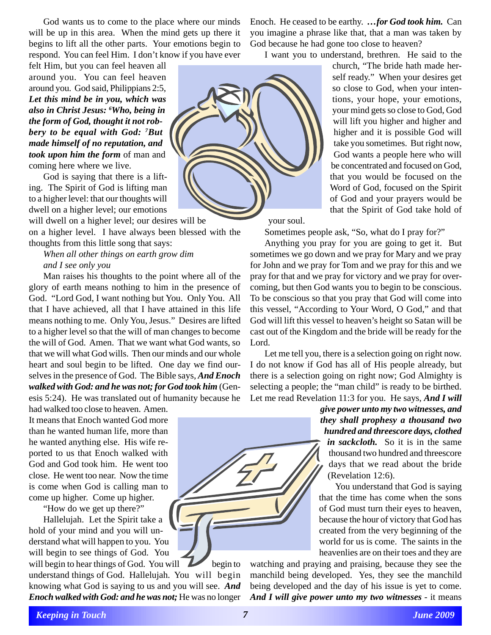God wants us to come to the place where our minds will be up in this area. When the mind gets up there it begins to lift all the other parts. Your emotions begin to respond. You can feel Him. I don't know if you have ever

felt Him, but you can feel heaven all around you. You can feel heaven around you. God said, Philippians 2:5, *Let this mind be in you, which was also in Christ Jesus: 6 Who, being in the form of God, thought it not robbery to be equal with God: 7 But made himself of no reputation, and took upon him the form* of man and coming here where we live.

God is saying that there is a lifting. The Spirit of God is lifting man to a higher level: that our thoughts will dwell on a higher level; our emotions will dwell on a higher level; our desires will be

on a higher level. I have always been blessed with the thoughts from this little song that says:

## *When all other things on earth grow dim and I see only you*

Man raises his thoughts to the point where all of the glory of earth means nothing to him in the presence of God. "Lord God, I want nothing but You. Only You. All that I have achieved, all that I have attained in this life means nothing to me. Only You, Jesus." Desires are lifted to a higher level so that the will of man changes to become the will of God. Amen. That we want what God wants, so that we will what God wills. Then our minds and our whole heart and soul begin to be lifted. One day we find ourselves in the presence of God. The Bible says, *And Enoch walked with God: and he was not; for God took him* (Genesis 5:24). He was translated out of humanity because he

had walked too close to heaven. Amen. It means that Enoch wanted God more than he wanted human life, more than he wanted anything else. His wife reported to us that Enoch walked with God and God took him. He went too close. He went too near. Now the time is come when God is calling man to come up higher. Come up higher.

"How do we get up there?"

Hallelujah. Let the Spirit take a hold of your mind and you will understand what will happen to you. You will begin to see things of God. You

will begin to hear things of God. You will begin to understand things of God. Hallelujah. You will begin knowing what God is saying to us and you will see. *And Enoch walked with God: and he was not;* He was no longer Enoch. He ceased to be earthy. *…for God took him.* Can you imagine a phrase like that, that a man was taken by God because he had gone too close to heaven?

I want you to understand, brethren. He said to the

church, "The bride hath made herself ready." When your desires get so close to God, when your intentions, your hope, your emotions, your mind gets so close to God, God will lift you higher and higher and higher and it is possible God will take you sometimes. But right now, God wants a people here who will be concentrated and focused on God, that you would be focused on the Word of God, focused on the Spirit of God and your prayers would be that the Spirit of God take hold of

your soul.

Sometimes people ask, "So, what do I pray for?"

Anything you pray for you are going to get it. But sometimes we go down and we pray for Mary and we pray for John and we pray for Tom and we pray for this and we pray for that and we pray for victory and we pray for overcoming, but then God wants you to begin to be conscious. To be conscious so that you pray that God will come into this vessel, "According to Your Word, O God," and that God will lift this vessel to heaven's height so Satan will be cast out of the Kingdom and the bride will be ready for the Lord.

Let me tell you, there is a selection going on right now. I do not know if God has all of His people already, but there is a selection going on right now; God Almighty is selecting a people; the "man child" is ready to be birthed. Let me read Revelation 11:3 for you. He says, *And I will*

> *give power unto my two witnesses, and they shall prophesy a thousand two hundred and threescore days, clothed in sackcloth.* So it is in the same thousand two hundred and threescore days that we read about the bride (Revelation 12:6).

> You understand that God is saying that the time has come when the sons of God must turn their eyes to heaven, because the hour of victory that God has created from the very beginning of the world for us is come. The saints in the heavenlies are on their toes and they are

watching and praying and praising, because they see the manchild being developed. Yes, they see the manchild being developed and the day of his issue is yet to come. *And I will give power unto my two witnesses* - it means

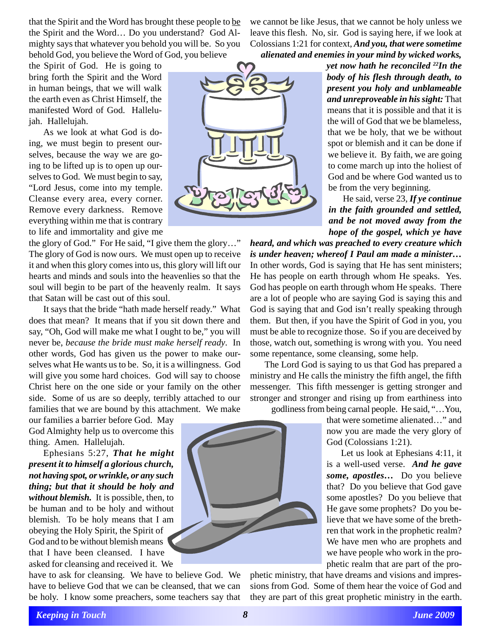that the Spirit and the Word has brought these people to be the Spirit and the Word… Do you understand? God Almighty says that whatever you behold you will be. So you behold God, you believe the Word of God, you believe

we cannot be like Jesus, that we cannot be holy unless we leave this flesh. No, sir. God is saying here, if we look at Colossians 1:21 for context, *And you, that were sometime alienated and enemies in your mind by wicked works,*

the Spirit of God. He is going to bring forth the Spirit and the Word in human beings, that we will walk the earth even as Christ Himself, the manifested Word of God. Hallelujah. Hallelujah.

As we look at what God is doing, we must begin to present ourselves, because the way we are going to be lifted up is to open up ourselves to God. We must begin to say, "Lord Jesus, come into my temple. Cleanse every area, every corner. Remove every darkness. Remove everything within me that is contrary to life and immortality and give me

the glory of God." For He said, "I give them the glory…" The glory of God is now ours. We must open up to receive it and when this glory comes into us, this glory will lift our hearts and minds and souls into the heavenlies so that the soul will begin to be part of the heavenly realm. It says that Satan will be cast out of this soul.

It says that the bride "hath made herself ready." What does that mean? It means that if you sit down there and say, "Oh, God will make me what I ought to be," you will never be, *because the bride must make herself ready*. In other words, God has given us the power to make ourselves what He wants us to be. So, it is a willingness. God will give you some hard choices. God will say to choose Christ here on the one side or your family on the other side. Some of us are so deeply, terribly attached to our families that we are bound by this attachment. We make

our families a barrier before God. May God Almighty help us to overcome this thing. Amen. Hallelujah.

Ephesians 5:27, *That he might present it to himself a glorious church, not having spot, or wrinkle, or any such thing; but that it should be holy and without blemish.* It is possible, then, to be human and to be holy and without blemish. To be holy means that I am obeying the Holy Spirit, the Spirit of God and to be without blemish means that I have been cleansed. I have asked for cleansing and received it. We

have to ask for cleansing. We have to believe God. We have to believe God that we can be cleansed, that we can be holy. I know some preachers, some teachers say that



*yet now hath he reconciled 22In the body of his flesh through death, to present you holy and unblameable and unreproveable in his sight:* That means that it is possible and that it is the will of God that we be blameless, that we be holy, that we be without spot or blemish and it can be done if we believe it. By faith, we are going to come march up into the holiest of God and be where God wanted us to be from the very beginning.

He said, verse 23, *If ye continue in the faith grounded and settled, and be not moved away from the hope of the gospel, which ye have*

*heard, and which was preached to every creature which is under heaven; whereof I Paul am made a minister…* In other words, God is saying that He has sent ministers; He has people on earth through whom He speaks. Yes. God has people on earth through whom He speaks. There are a lot of people who are saying God is saying this and God is saying that and God isn't really speaking through them. But then, if you have the Spirit of God in you, you must be able to recognize those. So if you are deceived by those, watch out, something is wrong with you. You need some repentance, some cleansing, some help.

The Lord God is saying to us that God has prepared a ministry and He calls the ministry the fifth angel, the fifth messenger. This fifth messenger is getting stronger and stronger and stronger and rising up from earthiness into godliness from being carnal people. He said, "…You,

> that were sometime alienated…" and now you are made the very glory of God (Colossians 1:21).

> Let us look at Ephesians 4:11, it is a well-used verse. *And he gave some, apostles…* Do you believe that? Do you believe that God gave some apostles? Do you believe that He gave some prophets? Do you believe that we have some of the brethren that work in the prophetic realm? We have men who are prophets and we have people who work in the prophetic realm that are part of the pro-

phetic ministry, that have dreams and visions and impressions from God. Some of them hear the voice of God and they are part of this great prophetic ministry in the earth.